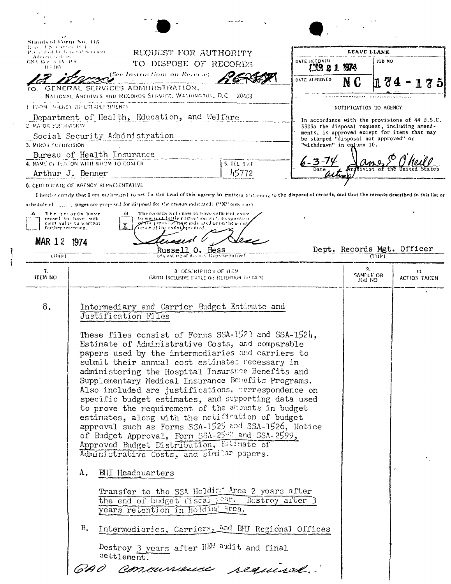| おい まかくせつ セキ<br>Pacerdod by Graenal Services.<br>Administrations | REQUEST FOR AUTHORITY                                                                                                                                                                                                |                         |                                       | LEAVE LLANK            |                                                                                              |
|-----------------------------------------------------------------|----------------------------------------------------------------------------------------------------------------------------------------------------------------------------------------------------------------------|-------------------------|---------------------------------------|------------------------|----------------------------------------------------------------------------------------------|
| GSA Rev. 5. IV: 196<br>115, 103.                                | TO DISPOSE OF RECORDS                                                                                                                                                                                                | DATE RECEIVED<br>L'AR 2 | M4                                    | JOB NO                 |                                                                                              |
|                                                                 | (See Instruction) on Reverse).                                                                                                                                                                                       | DATE AFFROVED           |                                       |                        |                                                                                              |
|                                                                 | TO. GENERAL SERVICES ADMITILISTRATION,<br>NATIONAL ARCHIVES AND RECORDS SERVICE, WALHINGTON, D.C. 20408                                                                                                              |                         |                                       |                        |                                                                                              |
|                                                                 | 1 FEOM ANDRE OF ESTRELL THEN D                                                                                                                                                                                       |                         |                                       | NOTIFICATION TO AGENCY |                                                                                              |
|                                                                 | Department of Health, Education, and Welfare                                                                                                                                                                         |                         |                                       |                        | In accordance with the provisions of 44 U.S.C.                                               |
| <b>2 MAIOR SUPERVISION</b>                                      | Social Security Administration                                                                                                                                                                                       |                         | be stamped "disposal not approved" or |                        | 3303a the disposal request, including amend-<br>ments, is approved except for items that may |
| 3. MIROR CUPDIVISION                                            |                                                                                                                                                                                                                      |                         | "withdrawn" in column 10.             |                        |                                                                                              |
|                                                                 | Bureau of Health Insurance<br>4. NAME OF PERSON WITH WHOM TO CONFER<br>$5.7C1.1 \times T$                                                                                                                            |                         |                                       |                        |                                                                                              |
|                                                                 | 45772<br>Arthur J. Benner                                                                                                                                                                                            | Date                    |                                       |                        |                                                                                              |
|                                                                 | 6. CERTIFICATE OF AGENCY REPRESENTATIVE<br>I hereby certify that I am authorized to act for the head of this agency in matters pertaining to the disposal of tecords, and that the records described in this list or |                         |                                       |                        |                                                                                              |
|                                                                 | achedule of [111] ] pages are proposed for disposal for the reason indicated: ("X" only (nr)                                                                                                                         |                         |                                       |                        |                                                                                              |
| А                                                               | The records will cease to bave sufficient voice<br>The records have<br>в<br>to warrint further retention on the expense is<br>ceased to have sum                                                                     |                         |                                       |                        |                                                                                              |
| further retention.                                              | perfit period of traje indicated or on the occur<br>cient value to warrant<br>Х<br>ence of the event, specified.                                                                                                     |                         |                                       |                        |                                                                                              |
| <b>MAR 12</b>                                                   | 1974                                                                                                                                                                                                                 |                         |                                       |                        | Dept. Records Mgt. Officer                                                                   |
| (Date)                                                          | <u>Russell O. Hess</u><br>(S), unture of Ass is a Representative)                                                                                                                                                    |                         |                                       | $(T)$ ule)             |                                                                                              |
| 7.<br>ITEM NO                                                   | <b>8 DESCRIPTION OF ITEM</b><br><b>GVITH INCLUSIVE INTERIOR RETENTION PERIODS)</b>                                                                                                                                   |                         |                                       | 9.<br>SAMPLE OR        | 10.<br>ACTION TAKEN                                                                          |
|                                                                 |                                                                                                                                                                                                                      |                         |                                       | J(18)110               |                                                                                              |
| 8.                                                              | Intermediary and Carrier Budget Estimate and                                                                                                                                                                         |                         |                                       |                        |                                                                                              |
|                                                                 |                                                                                                                                                                                                                      |                         |                                       |                        |                                                                                              |
|                                                                 | Justification Files                                                                                                                                                                                                  |                         |                                       |                        |                                                                                              |
|                                                                 |                                                                                                                                                                                                                      |                         |                                       |                        |                                                                                              |
|                                                                 | These files consist of Forms SSA-152? and SSA-1524,<br>Estimate of Administrative Costs, and comparable                                                                                                              |                         |                                       |                        |                                                                                              |
|                                                                 | papers used by the intermediaries and carriers to                                                                                                                                                                    |                         |                                       |                        |                                                                                              |
|                                                                 | submit their annual cost estimates recessary in<br>administering the Hospital Insurance Benefits and                                                                                                                 |                         |                                       |                        |                                                                                              |
|                                                                 | Supplementary Medical Insurance Benefits Programs.                                                                                                                                                                   |                         |                                       |                        |                                                                                              |
|                                                                 | Also included are justifications, correspondence on<br>specific budget estimates, and supporting data used                                                                                                           |                         |                                       |                        |                                                                                              |
|                                                                 | to prove the requirement of the amounts in budget                                                                                                                                                                    |                         |                                       |                        |                                                                                              |
|                                                                 | estimates, along with the notification of budget                                                                                                                                                                     |                         |                                       |                        |                                                                                              |
|                                                                 | approval such as Forms SSA-1525 and SSA-1526, Notice<br>of Budget Approval, Form SSA-2508 and SSA-2599,                                                                                                              |                         |                                       |                        |                                                                                              |
|                                                                 | Approved Budget Distribution, Estimate of                                                                                                                                                                            |                         |                                       |                        |                                                                                              |
|                                                                 | Administrative Costs, and similar papers.<br><b>BII Headquarters</b><br>A.                                                                                                                                           |                         |                                       |                        |                                                                                              |
|                                                                 |                                                                                                                                                                                                                      |                         |                                       |                        |                                                                                              |
|                                                                 | Transfer to the SSA Holding Area 2 years after                                                                                                                                                                       |                         |                                       |                        |                                                                                              |
|                                                                 | the end of budget fiscal Fax. Destroy after 3<br>years retention in holding area.                                                                                                                                    |                         |                                       |                        |                                                                                              |
|                                                                 | B.<br>Intermediaries, Carriers, and BHJ Regional Offices                                                                                                                                                             |                         |                                       |                        |                                                                                              |
|                                                                 | Destroy 3 years after HM audit and final<br>settlement.                                                                                                                                                              |                         |                                       |                        |                                                                                              |
|                                                                 |                                                                                                                                                                                                                      |                         |                                       |                        |                                                                                              |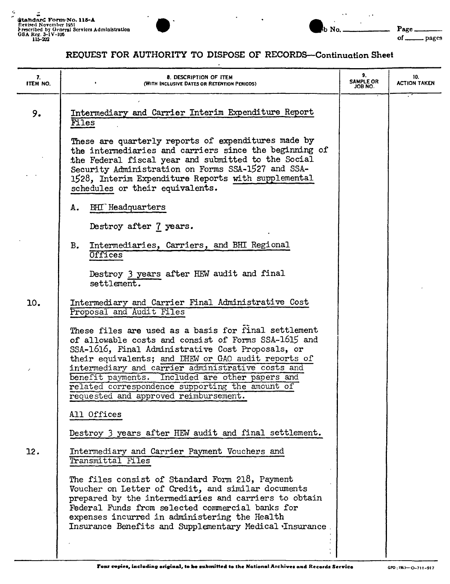## REOUEST FOR AUTHORITY TO DISPOSE OF RECORDS-Continuation Sheet

 $\ddot{\phantom{a}}$ 

b No.

 $\ddot{\phantom{a}}$ 

Page\_

\_pages

 $of$ <sub> $-$ </sub>

| 7.<br>ITEM NO. | 8. DESCRIPTION OF ITEM<br>(WITH INCLUSIVE DATES OR RETENTION PERIODS)                                                                                                                                                                                                                                                                                                                                                        | 9.<br><b>SAMPLE OR</b><br>ON 8OL | 10.<br><b>ACTION TAKEN</b> |
|----------------|------------------------------------------------------------------------------------------------------------------------------------------------------------------------------------------------------------------------------------------------------------------------------------------------------------------------------------------------------------------------------------------------------------------------------|----------------------------------|----------------------------|
| 9.             | Intermediary and Carrier Interim Expenditure Report<br>Files                                                                                                                                                                                                                                                                                                                                                                 |                                  |                            |
|                | These are quarterly reports of expenditures made by<br>the intermediaries and carriers since the beginning of<br>the Federal fiscal year and submitted to the Social<br>Security Administration on Forms SSA-1527 and SSA-<br>1528, Interim Expenditure Reports with supplemental<br>schedules or their equivalents.                                                                                                         |                                  |                            |
|                | <b>BHI</b> Headquarters<br>A.                                                                                                                                                                                                                                                                                                                                                                                                |                                  |                            |
|                | Destroy after 7 years.                                                                                                                                                                                                                                                                                                                                                                                                       |                                  |                            |
|                | Intermediaries, Carriers, and BHI Regional<br>B.<br>Offices                                                                                                                                                                                                                                                                                                                                                                  |                                  |                            |
|                | Destroy 3 years after HEW audit and final<br>settlement.                                                                                                                                                                                                                                                                                                                                                                     |                                  |                            |
| 10.            | Intermediary and Carrier Final Administrative Cost<br>Proposal and Audit Files                                                                                                                                                                                                                                                                                                                                               |                                  |                            |
|                | These files are used as a basis for final settlement<br>of allowable costs and consist of Forms SSA-1615 and<br>SSA-1616, Final Administrative Cost Proposals, or<br>their equivalents; and DHEW or GAO audit reports of<br>intermediary and carrier administrative costs and<br>benefit payments. Included are other papers and<br>related correspondence supporting the amount of<br>requested and approved reimbursement. |                                  |                            |
|                | All Offices                                                                                                                                                                                                                                                                                                                                                                                                                  |                                  |                            |
|                | Destroy 3 years after HEW audit and final settlement.                                                                                                                                                                                                                                                                                                                                                                        |                                  |                            |
| 12.            | Intermediary and Carrier Payment Vouchers and<br>Transmittal Files                                                                                                                                                                                                                                                                                                                                                           |                                  |                            |
|                | The files consist of Standard Form 218, Payment<br>Voucher on Letter of Credit, and similar documents<br>prepared by the intermediaries and carriers to obtain<br>Federal Funds from selected commercial banks for<br>expenses incurred in administering the Health<br>Insurance Benefits and Supplementary Medical Insurance                                                                                                |                                  |                            |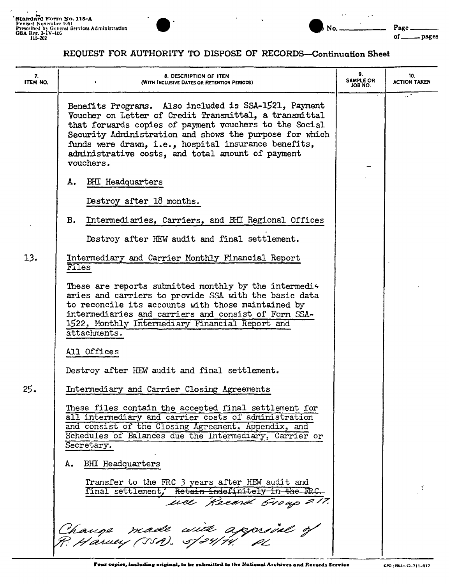$\epsilon$ 



## $\ddot{\phantom{a}}$  .  $\Box$  .  $\ddot{\phantom{a}}$  $No.$

Page\_  $of$ <sub>---</sub> \_pages

## REQUEST FOR AUTHORITY TO DISPOSE OF RECORDS-Continuation Sheet

| 7.<br>ITEM NO. | 8. DESCRIPTION OF ITEM<br>(WITH INCLUSIVE DATES OR RETENTION PERIODS)                                                                                                                                                                                                                                                                                          | 9.<br><b>SAMPLE OR</b><br>JOB NO. | 10.<br><b>ACTION TAKEN</b> |
|----------------|----------------------------------------------------------------------------------------------------------------------------------------------------------------------------------------------------------------------------------------------------------------------------------------------------------------------------------------------------------------|-----------------------------------|----------------------------|
|                | Benefits Programs. Also included is SSA-1521, Payment<br>Voucher on Letter of Credit Transmittal, a transmittal<br>that forwards copies of payment vouchers to the Social<br>Security Administration and shows the purpose for which<br>funds were drawn, i.e., hospital insurance benefits,<br>administrative costs, and total amount of payment<br>vouchers. |                                   | .                          |
|                | <b>BHI</b> Headquarters<br>А.                                                                                                                                                                                                                                                                                                                                  |                                   |                            |
|                | Destroy after 18 months.                                                                                                                                                                                                                                                                                                                                       |                                   |                            |
|                | Intermediaries, Carriers, and BHI Regional Offices<br>в.                                                                                                                                                                                                                                                                                                       |                                   |                            |
|                | Destroy after HEW audit and final settlement.                                                                                                                                                                                                                                                                                                                  |                                   |                            |
| 13.            | Intermediary and Carrier Monthly Financial Report<br>Files                                                                                                                                                                                                                                                                                                     |                                   |                            |
|                | These are reports submitted monthly by the intermedis<br>aries and carriers to provide SSA with the basic data<br>to reconcile its accounts with those maintained by<br>intermediaries and carriers and consist of Form SSA-<br>1522, Monthly Intermediary Financial Report and<br>attachments.                                                                |                                   |                            |
|                | All Offices                                                                                                                                                                                                                                                                                                                                                    |                                   |                            |
|                | Destroy after HEW audit and final settlement.                                                                                                                                                                                                                                                                                                                  |                                   |                            |
| 25.            | Intermediary and Carrier Closing Agreements                                                                                                                                                                                                                                                                                                                    |                                   |                            |
|                | These files contain the accepted final settlement for<br>all intermediary and carrier costs of administration<br>and consist of the Closing Agreement, Appendix, and<br>Schedules of Balances due the Intermediary, Carrier or<br>Secretary.                                                                                                                   |                                   |                            |
|                | <b>BHI</b> Headquarters<br>А.                                                                                                                                                                                                                                                                                                                                  |                                   |                            |
|                | Transfer to the FRC 3 years after HEW audit and<br>final settlement, Retain indefinitely in the FRC.<br>uce Record Group 217.                                                                                                                                                                                                                                  |                                   |                            |
|                | Change made with approvel of                                                                                                                                                                                                                                                                                                                                   |                                   |                            |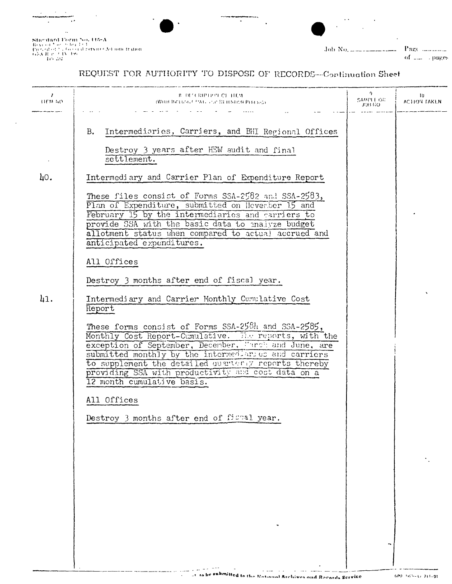Sticedurd Porm No. 115-A<br>Reveal No. 2011<br>2011<br>Tres de Sticedurd Namibitation<br>GS-R is 2013<br>202

 $\sim$ 

 $J_0$ <sub>b</sub> No.  $\pm$   $\pm$   $\pm$ 

Page  $\ldots\ldots\ldots\ldots$ of 2.22 pages

## REQUEST FOR AUTHORITY TO DISPOSE OF RECORDS-Continuation Sheet

T,

| $\prime$<br><b>HEM NO</b> | - в осстанной се нем<br><b>(WHITE INCLUSIVE PARK YOU BE HIMTOR PHILING)</b>                                                                                                                                                                                                                                                                                            | $\gamma$<br>SAMPLE OR<br>JOB NO. | ហ<br>ACTION TAKEN. |
|---------------------------|------------------------------------------------------------------------------------------------------------------------------------------------------------------------------------------------------------------------------------------------------------------------------------------------------------------------------------------------------------------------|----------------------------------|--------------------|
|                           | Intermediaries, Carriers, and BHI Regional Offices<br>B.<br>Destroy 3 years after HEW audit and final<br>settlement.                                                                                                                                                                                                                                                   |                                  |                    |
| 40.                       | Intermediary and Carrier Plan of Expenditure Report<br>These files consist of Forms SSA-2582 and SSA-2583,<br>Plan of Expenditure, submitted on Hoverber 15 and                                                                                                                                                                                                        |                                  |                    |
|                           | February 15 by the intermediaries and carriers to<br>provide SSA with the basic data to maivze budget<br>allotment status when compared to actual accrued and<br>anticipated expenditures.                                                                                                                                                                             |                                  |                    |
|                           | All Offices<br>Destroy 3 months after end of fiscal year.                                                                                                                                                                                                                                                                                                              |                                  |                    |
| 41.                       | Intermediary and Carrier Monthly Cumulative Cost<br>Report                                                                                                                                                                                                                                                                                                             |                                  |                    |
|                           | These forms consist of Forms SSA-2581 and SSA-2585,<br>Monthly Cost Report-Cumulative. The reports, with the exception of September, December, Farch and June, are<br>submitted monthly by the intermediances and carriers<br>to supplement the detailed ouarterly reports thereby<br>providing SSA with productivity and cost data on a<br>12 month cumulative basis. |                                  |                    |
|                           | All Offices                                                                                                                                                                                                                                                                                                                                                            |                                  |                    |
|                           | Destroy 3 months after end of fight year.                                                                                                                                                                                                                                                                                                                              |                                  |                    |
|                           |                                                                                                                                                                                                                                                                                                                                                                        |                                  |                    |
|                           |                                                                                                                                                                                                                                                                                                                                                                        |                                  |                    |
|                           |                                                                                                                                                                                                                                                                                                                                                                        |                                  |                    |
|                           |                                                                                                                                                                                                                                                                                                                                                                        |                                  |                    |
|                           |                                                                                                                                                                                                                                                                                                                                                                        |                                  |                    |

a della contra della contra-

 $\mathbf{r}$ 

 $\overline{1}$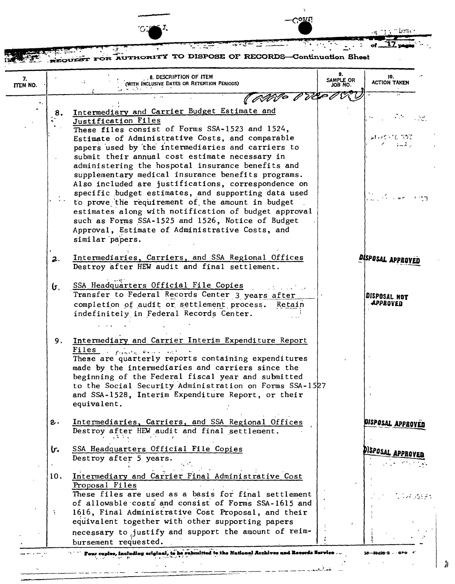|                |                | <b>Conu</b>                                                                                             |                           |                            |
|----------------|----------------|---------------------------------------------------------------------------------------------------------|---------------------------|----------------------------|
|                |                | FOR AUTHORITY TO DISPOSE OF RECORDS-Continuation Sheet                                                  |                           |                            |
| 7.<br>ITEM NO. |                | 8. DESCRIPTION OF ITEM<br>(WITH INCLUSIVE DATES OR RETENTION PERIODS)                                   | 9.<br>SAMPLE OR<br>ON BOL | 10.<br><b>ACTION TAKEN</b> |
|                |                | (ANO PR                                                                                                 |                           |                            |
|                |                | Intermediary and Carrier Budget Estimate and                                                            |                           |                            |
|                | 8.             | Justification Files                                                                                     |                           |                            |
|                |                | These files consist of Forms SSA-1523 and 1524,                                                         |                           |                            |
|                |                | Estimate of Administrative Costs, and comparable                                                        |                           | なわれくら てんこうて                |
|                |                | papers used by the intermediaries and carriers to                                                       |                           | المستقط                    |
|                |                | submit their annual cost estimate necessary in                                                          |                           |                            |
|                |                | administering the hospotal insurance benefits and                                                       |                           |                            |
|                |                | supplementary medical insurance benefits programs.                                                      |                           |                            |
|                |                | Also included are justifications, correspondence on                                                     |                           |                            |
|                |                | specific budget estimates, and supporting data used<br>to prove the requirement of the amount in budget |                           |                            |
|                |                | estimates along with notification of budget approval                                                    |                           |                            |
|                |                | such as Forms SSA-1525 and 1526, Notice of Budget                                                       |                           |                            |
|                |                | Approval, Estimate of Administrative Costs, and                                                         |                           |                            |
|                |                | similar papers.                                                                                         |                           |                            |
|                |                |                                                                                                         |                           |                            |
|                | 2.             | Intermediaries, Carriers, and SSA Regional Offices<br>Destroy after HEW audit and final settlement.     |                           | DISPOSAL APPROVE           |
|                | ნ.             | SSA Headquarters Official File Copies                                                                   |                           |                            |
|                |                | Transfer to Federal Records Center 3 years after                                                        |                           | DISPOSAL NOT               |
|                |                | completion of audit or settlement process.<br>Retain                                                    |                           | <b>APPROVED</b>            |
|                |                | indefinitely in Federal Records Center.                                                                 |                           |                            |
|                |                |                                                                                                         |                           |                            |
|                |                |                                                                                                         |                           |                            |
|                | 9.             | Intermediary and Carrier Interim Expenditure Report                                                     |                           |                            |
|                |                | Files<br>finite from the<br>These are quarterly reports containing expenditures                         |                           |                            |
|                |                | made by the intermediaries and carriers since the                                                       |                           |                            |
|                |                | beginning of the Federal fiscal year and submitted                                                      |                           |                            |
|                |                | to the Social Security Administration on Forms SSA-1527                                                 |                           |                            |
|                |                | and SSA-1528, Interim Expenditure Report, or their                                                      |                           |                            |
|                |                | equivalent.                                                                                             |                           |                            |
|                | $\mathbf{c}$ . | Intermediaries, Carriers, and SSA Regional Offices                                                      |                           |                            |
|                |                | Destroy after HEW audit and final settlement.                                                           |                           | DISPOSAL APPROVED          |
|                |                |                                                                                                         |                           |                            |
|                | ŀ.             | SSA Headquarters Official File Copies<br>Destroy after 5 years.                                         |                           | Disposal approven          |
|                |                |                                                                                                         |                           |                            |
|                | 10.            | Intermediary and Carrier Final Administrative Cost                                                      |                           |                            |
|                |                | Proposal Files                                                                                          |                           |                            |
|                |                | These files are used as a basis for final settlement                                                    |                           | 医异常感染病                     |
|                |                | of allowable costs and consist of Forms SSA-1615 and                                                    |                           |                            |
|                |                | 1616, Final Administrative Cost Proposal, and their                                                     |                           |                            |
|                |                | equivalent together with other supporting papers                                                        |                           |                            |
|                |                | necessary to justify and support the amount of reim-                                                    |                           |                            |
|                |                | bursement requested.                                                                                    |                           |                            |

 $\sqrt{2}$ 

 $\begin{array}{c} \end{array}$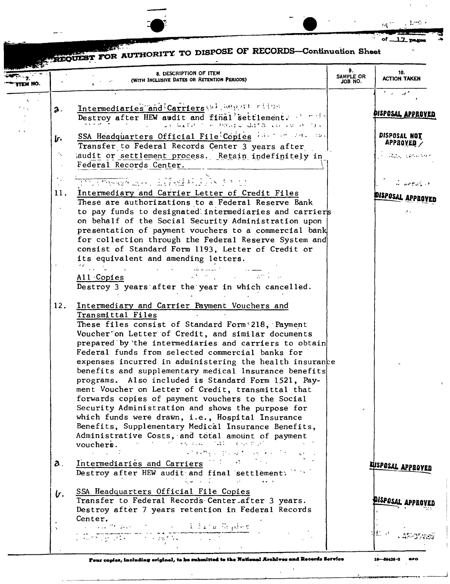

ω

 $\mathcal{A}$ 

Eregov

OUEST FOR AUTHORITY TO DISPOSE OF RECORDS-Continuation Sheet

|         | 8. DESCRIPTION OF ITEM                                                                                                                                                                                                                                                                                                                                                                                               | 9.                   | 10.                                                 |
|---------|----------------------------------------------------------------------------------------------------------------------------------------------------------------------------------------------------------------------------------------------------------------------------------------------------------------------------------------------------------------------------------------------------------------------|----------------------|-----------------------------------------------------|
| TEM NO. | (WITH INCLUSIVE DATES OR RETENTION PERIODS)                                                                                                                                                                                                                                                                                                                                                                          | SAMPLE OR<br>JOB NO. | <b>ACTION TAKEN</b>                                 |
|         |                                                                                                                                                                                                                                                                                                                                                                                                                      |                      | $\mathcal{F}(\mathcal{A})=\mathcal{A}(\mathcal{A})$ |
|         |                                                                                                                                                                                                                                                                                                                                                                                                                      |                      |                                                     |
|         | Intermediaries and Carriers (a) benefit rites<br>2.                                                                                                                                                                                                                                                                                                                                                                  |                      | PISPOSAL APPROVED                                   |
|         | Destroy after HEW audit and final settlement.<br>us With I would differ to real the                                                                                                                                                                                                                                                                                                                                  |                      |                                                     |
| $\sim$  |                                                                                                                                                                                                                                                                                                                                                                                                                      |                      | DISPOSAL NOT                                        |
|         | SSA Headquarters Official File Copies in the last is.<br>ŀ.                                                                                                                                                                                                                                                                                                                                                          |                      | $APPBOYED \nearrow$                                 |
|         | Transfer to Federal Records Center 3 years after<br>÷.,                                                                                                                                                                                                                                                                                                                                                              |                      |                                                     |
|         | audit or settlement process. Retain indefinitely in<br>Federal Records Center.                                                                                                                                                                                                                                                                                                                                       |                      | 一、 高速的 化氯化碳医氯化物                                     |
|         |                                                                                                                                                                                                                                                                                                                                                                                                                      |                      |                                                     |
|         | <u> 1991 - Marien Alexandri, Alfred al India (o. 199</u>                                                                                                                                                                                                                                                                                                                                                             |                      | $\mathcal{L}$ , we give $\mathcal{L} \rightarrow$   |
|         | Intermediary and Carrier Letter of Credit Files<br>11.                                                                                                                                                                                                                                                                                                                                                               |                      |                                                     |
|         | These are authorizations to a Federal Reserve Bank                                                                                                                                                                                                                                                                                                                                                                   |                      | PISPOSAL APPRO                                      |
|         | to pay funds to designated intermediaries and carriers                                                                                                                                                                                                                                                                                                                                                               |                      |                                                     |
|         | on behalf of the Social Security Administration upon                                                                                                                                                                                                                                                                                                                                                                 |                      |                                                     |
|         | presentation of payment vouchers to a commercial bank                                                                                                                                                                                                                                                                                                                                                                |                      |                                                     |
|         | for collection through the Federal Reserve System and                                                                                                                                                                                                                                                                                                                                                                |                      |                                                     |
|         | consist of Standard Form 1193, Letter of Credit or                                                                                                                                                                                                                                                                                                                                                                   |                      |                                                     |
|         | its equivalent and amending letters.                                                                                                                                                                                                                                                                                                                                                                                 |                      |                                                     |
|         | $\mathscr{C}_{\mathcal{A}}$ , where $\mathscr{C}_{\mathcal{A}}$                                                                                                                                                                                                                                                                                                                                                      |                      |                                                     |
|         | All Copies                                                                                                                                                                                                                                                                                                                                                                                                           |                      |                                                     |
|         | Destroy 3 years after the year in which cancelled.                                                                                                                                                                                                                                                                                                                                                                   |                      |                                                     |
|         |                                                                                                                                                                                                                                                                                                                                                                                                                      |                      |                                                     |
|         | 12.<br>Intermediary and Carrier Payment Vouchers and                                                                                                                                                                                                                                                                                                                                                                 |                      |                                                     |
|         | Transmittal Files                                                                                                                                                                                                                                                                                                                                                                                                    |                      |                                                     |
|         | These files consist of Standard Form 218, Payment                                                                                                                                                                                                                                                                                                                                                                    |                      |                                                     |
|         | Voucher'on Letter of Credit, and similar documents<br>prepared by the intermediaries and carriers to obtain                                                                                                                                                                                                                                                                                                          |                      |                                                     |
|         | Federal funds from selected commercial banks for                                                                                                                                                                                                                                                                                                                                                                     |                      |                                                     |
|         | expenses incurred in administering the health insurance                                                                                                                                                                                                                                                                                                                                                              |                      |                                                     |
|         | benefits and supplementary medical lnsurance benefits                                                                                                                                                                                                                                                                                                                                                                |                      |                                                     |
|         | programs. Also included is Standard Form 1521, Pay-                                                                                                                                                                                                                                                                                                                                                                  |                      |                                                     |
|         | ment Voucher on Letter of Credit, transmittal that                                                                                                                                                                                                                                                                                                                                                                   |                      |                                                     |
|         | forwards copies of payment vouchers to the Social                                                                                                                                                                                                                                                                                                                                                                    |                      |                                                     |
|         | Security Administration and shows the purpose for                                                                                                                                                                                                                                                                                                                                                                    |                      |                                                     |
|         | which funds were drawn, i.e., Hospital Insurance                                                                                                                                                                                                                                                                                                                                                                     |                      |                                                     |
|         | Benefits, Supplementary Medical Insurance Benefits,                                                                                                                                                                                                                                                                                                                                                                  |                      |                                                     |
|         | Administrative Costs, and total amount of payment<br>vouchers. $\mathbb{R}^n$ is the $\mathbb{R}^n$ contract $\mathbb{R}^n$                                                                                                                                                                                                                                                                                          |                      |                                                     |
|         | $\label{eq:1} \mathcal{L}^{\mathcal{A}}(\mathbf{x}^{\mathcal{A}}\otimes\mathbf{v}^{\mathcal{B}}\otimes\mathcal{L}^{\mathcal{A}}(\mathbb{R}^{d},\mathcal{H}^{\mathcal{A}}))\otimes\mathcal{L}^{\mathcal{A}}(\mathbb{R}^{d},\mathbb{R}^{d},\mathbb{R}^{d},\mathbb{R}^{d},\mathbb{R}^{d},\mathbb{R}^{d},\mathbb{R}^{d})$<br>$\mathcal{A}^{\mathcal{A}}$ and $\mathcal{A}^{\mathcal{A}}$ and $\mathcal{A}^{\mathcal{A}}$ |                      |                                                     |
|         | Intermediaries and Carriers and Carriers                                                                                                                                                                                                                                                                                                                                                                             |                      |                                                     |
|         | $\mathbf{a}$ .<br>Destroy after HEW audit and final settlement:                                                                                                                                                                                                                                                                                                                                                      |                      | LUSPOSAL APPROVED                                   |
|         | $\mathcal{L}(\omega)$ , and $\mathcal{L}(\omega)$ is a subset of the set of the set of $\omega$                                                                                                                                                                                                                                                                                                                      |                      |                                                     |
|         | SSA Headquarters Official File Copies<br><u>い</u>                                                                                                                                                                                                                                                                                                                                                                    |                      |                                                     |
|         | Transfer to Federal Records Center after 3 years.                                                                                                                                                                                                                                                                                                                                                                    |                      | DISPOSAL APPROVED                                   |
|         | Destroy after 7 years retention in Federal Records                                                                                                                                                                                                                                                                                                                                                                   |                      |                                                     |
|         | Center.                                                                                                                                                                                                                                                                                                                                                                                                              |                      |                                                     |
|         | a cala de Galerico de la contra de Grande Serbergo                                                                                                                                                                                                                                                                                                                                                                   |                      | 忙い                                                  |
|         | ) (Group at College 25 to 2011)                                                                                                                                                                                                                                                                                                                                                                                      |                      |                                                     |
|         |                                                                                                                                                                                                                                                                                                                                                                                                                      |                      |                                                     |

Four copies, including original, to be submitted to the National Archives and Recerds Service

 $\Delta$ 

16-59428-2 **SPO**